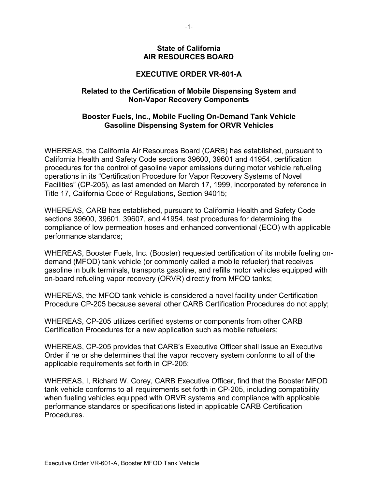## **State of California AIR RESOURCES BOARD**

## **EXECUTIVE ORDER VR-601-A**

## **Related to the Certification of Mobile Dispensing System and Non-Vapor Recovery Components**

## **Booster Fuels, Inc., Mobile Fueling On-Demand Tank Vehicle Gasoline Dispensing System for ORVR Vehicles**

WHEREAS, the California Air Resources Board (CARB) has established, pursuant to California Health and Safety Code sections 39600, 39601 and 41954, certification procedures for the control of gasoline vapor emissions during motor vehicle refueling operations in its "Certification Procedure for Vapor Recovery Systems of Novel Facilities" (CP-205), as last amended on March 17, 1999, incorporated by reference in Title 17, California Code of Regulations, Section 94015;

WHEREAS, CARB has established, pursuant to California Health and Safety Code sections 39600, 39601, 39607, and 41954, test procedures for determining the compliance of low permeation hoses and enhanced conventional (ECO) with applicable performance standards;

WHEREAS, Booster Fuels, Inc. (Booster) requested certification of its mobile fueling ondemand (MFOD) tank vehicle (or commonly called a mobile refueler) that receives gasoline in bulk terminals, transports gasoline, and refills motor vehicles equipped with on-board refueling vapor recovery (ORVR) directly from MFOD tanks;

WHEREAS, the MFOD tank vehicle is considered a novel facility under Certification Procedure CP-205 because several other CARB Certification Procedures do not apply;

WHEREAS, CP-205 utilizes certified systems or components from other CARB Certification Procedures for a new application such as mobile refuelers;

WHEREAS, CP-205 provides that CARB's Executive Officer shall issue an Executive Order if he or she determines that the vapor recovery system conforms to all of the applicable requirements set forth in CP-205;

WHEREAS, I, Richard W. Corey, CARB Executive Officer, find that the Booster MFOD tank vehicle conforms to all requirements set forth in CP-205, including compatibility when fueling vehicles equipped with ORVR systems and compliance with applicable performance standards or specifications listed in applicable CARB Certification Procedures.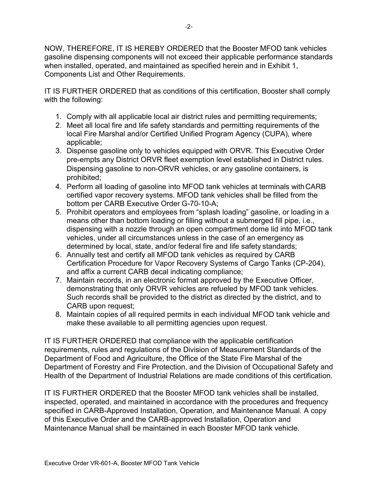NOW, THEREFORE, IT IS HEREBY ORDERED that the Booster MFOD tank vehicles gasoline dispensing components will not exceed their applicable performance standards when installed, operated, and maintained as specified herein and in Exhibit 1, Components List and Other Requirements.

IT IS FURTHER ORDERED that as conditions of this certification, Booster shall comply with the following:

- 1. Comply with all applicable local air district rules and permitting requirements;
- 2. Meet all local fire and life safety standards and permitting requirements of the local Fire Marshal and/or Certified Unified Program Agency (CUPA), where applicable;
- 3. Dispense gasoline only to vehicles equipped with ORVR. This Executive Order pre-empts any District ORVR fleet exemption level established in District rules. Dispensing gasoline to non-ORVR vehicles, or any gasoline containers, is prohibited;
- 4. Perform all loading of gasoline into MFOD tank vehicles at terminals withCARB certified vapor recovery systems. MFOD tank vehicles shall be filled from the bottom per CARB Executive Order G-70-10-A;
- 5. Prohibit operators and employees from "splash loading" gasoline, or loading in a means other than bottom loading or filling without a submerged fill pipe, i.e., dispensing with a nozzle through an open compartment dome lid into MFOD tank vehicles, under all circumstances unless in the case of an emergency as determined by local, state, and/or federal fire and life safety standards;
- 6. Annually test and certify all MFOD tank vehicles as required by CARB Certification Procedure for Vapor Recovery Systems of Cargo Tanks (CP-204), and affix a current CARB decal indicating compliance;
- 7. Maintain records, in an electronic format approved by the Executive Officer, demonstrating that only ORVR vehicles are refueled by MFOD tank vehicles. Such records shall be provided to the district as directed by the district, and to CARB upon request;
- 8. Maintain copies of all required permits in each individual MFOD tank vehicle and make these available to all permitting agencies upon request.

IT IS FURTHER ORDERED that compliance with the applicable certification requirements, rules and regulations of the Division of Measurement Standards of the Department of Food and Agriculture, the Office of the State Fire Marshal of the Department of Forestry and Fire Protection, and the Division of Occupational Safety and Health of the Department of Industrial Relations are made conditions of this certification.

IT IS FURTHER ORDERED that the Booster MFOD tank vehicles shall be installed, inspected, operated, and maintained in accordance with the procedures and frequency specified in CARB-Approved Installation, Operation, and Maintenance Manual. A copy of this Executive Order and the CARB-approved Installation, Operation and Maintenance Manual shall be maintained in each Booster MFOD tank vehicle.